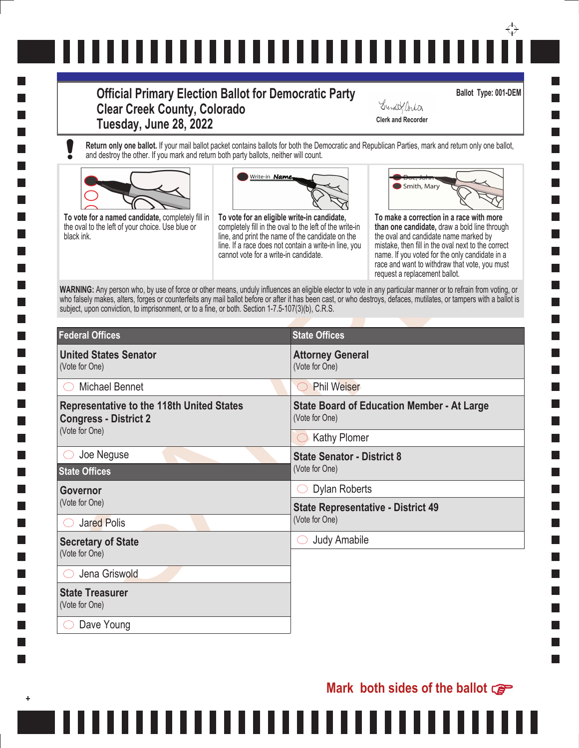# ↔ ,,,,,,,,,,,,,,,,,,,,,,,,,,,

### **Official Primary Election Ballot for Democratic Party Clear Creek County, Colorado Tuesday, June 28, 2022 Clerk and Recorder**

**Ballot Type: 001-DEM**

**Return only one ballot.** If your mail ballot packet contains ballots for both the Democratic and Republican Parties, mark and return only one ballot, and destroy the other. If you mark and return both party ballots, neither will count.



.......





Grendel Corta

|                                                             | Smith, Mary<br>To make a correction in a race with more<br>than one candidate, draw a bold line through<br>the oval and candidate name marked by<br>mistake, then fill in the oval next to the correct<br>name. If you voted for the only candidate in a<br>race and want to withdraw that vote, you must<br>request a replacement ballot.<br>WARNING: Any person who, by use of force or other means, unduly influences an eligible elector to vote in any particular manner or to refrain from voting, or<br>who falsely makes, alters, forges or counterfeits any mail ballot before or after it has been cast, or who destroys, defaces, mutilates, or tampers with a ballot is |
|-------------------------------------------------------------|-------------------------------------------------------------------------------------------------------------------------------------------------------------------------------------------------------------------------------------------------------------------------------------------------------------------------------------------------------------------------------------------------------------------------------------------------------------------------------------------------------------------------------------------------------------------------------------------------------------------------------------------------------------------------------------|
|                                                             |                                                                                                                                                                                                                                                                                                                                                                                                                                                                                                                                                                                                                                                                                     |
| (Vote for One)                                              |                                                                                                                                                                                                                                                                                                                                                                                                                                                                                                                                                                                                                                                                                     |
| <b>Phil Weiser</b>                                          |                                                                                                                                                                                                                                                                                                                                                                                                                                                                                                                                                                                                                                                                                     |
| (Vote for One)                                              | <b>State Board of Education Member - At Large</b>                                                                                                                                                                                                                                                                                                                                                                                                                                                                                                                                                                                                                                   |
|                                                             |                                                                                                                                                                                                                                                                                                                                                                                                                                                                                                                                                                                                                                                                                     |
| (Vote for One)                                              |                                                                                                                                                                                                                                                                                                                                                                                                                                                                                                                                                                                                                                                                                     |
|                                                             |                                                                                                                                                                                                                                                                                                                                                                                                                                                                                                                                                                                                                                                                                     |
| <b>Dylan Roberts</b>                                        |                                                                                                                                                                                                                                                                                                                                                                                                                                                                                                                                                                                                                                                                                     |
| <b>State Representative - District 49</b><br>(Vote for One) |                                                                                                                                                                                                                                                                                                                                                                                                                                                                                                                                                                                                                                                                                     |
| <b>Judy Amabile</b>                                         |                                                                                                                                                                                                                                                                                                                                                                                                                                                                                                                                                                                                                                                                                     |
|                                                             |                                                                                                                                                                                                                                                                                                                                                                                                                                                                                                                                                                                                                                                                                     |
|                                                             |                                                                                                                                                                                                                                                                                                                                                                                                                                                                                                                                                                                                                                                                                     |
|                                                             | Write-in <b>Name</b><br>To vote for an eligible write-in candidate,<br>completely fill in the oval to the left of the write-in<br>line, and print the name of the candidate on the<br>line. If a race does not contain a write-in line, you<br>cannot vote for a write-in candidate.<br>subject, upon conviction, to imprisonment, or to a fine, or both. Section 1-7.5-107(3)(b), C.R.S.<br><b>State Offices</b><br><b>Attorney General</b><br><b>Kathy Plomer</b><br><b>State Senator - District 8</b>                                                                                                                                                                            |

. . . . . .

### **Mark both sides of the ballot**

L.